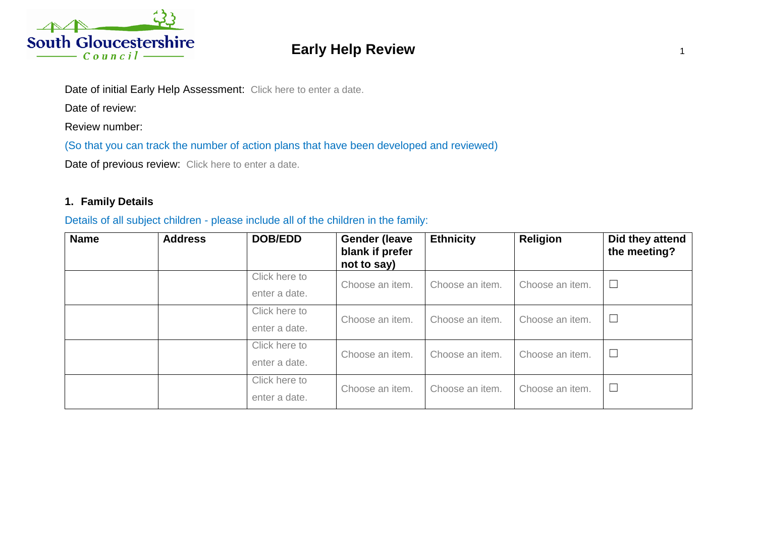

# **Early Help Review 19th State Street Assembly 10 and 10 and 10 and 10 and 10 and 10 and 10 and 10 and 10 and 10 and 10 and 10 and 10 and 10 and 10 and 10 and 10 and 10 and 10 and 10 and 10 and 10 and 10 and 10 and 10 and 1**

Date of initial Early Help Assessment: Click here to enter a date.

Date of review:

Review number:

(So that you can track the number of action plans that have been developed and reviewed)

Date of previous review: Click here to enter a date.

# **1. Family Details**

#### Details of all subject children - please include all of the children in the family:

| <b>Name</b> | <b>Address</b> | <b>DOB/EDD</b>                 | <b>Gender (leave</b><br>blank if prefer<br>not to say) | <b>Ethnicity</b> | <b>Religion</b> | Did they attend<br>the meeting? |
|-------------|----------------|--------------------------------|--------------------------------------------------------|------------------|-----------------|---------------------------------|
|             |                | Click here to<br>enter a date. | Choose an item.                                        | Choose an item.  | Choose an item. | $\Box$                          |
|             |                | Click here to<br>enter a date. | Choose an item.                                        | Choose an item.  | Choose an item. | $\Box$                          |
|             |                | Click here to<br>enter a date. | Choose an item.                                        | Choose an item.  | Choose an item. | $\Box$                          |
|             |                | Click here to<br>enter a date. | Choose an item.                                        | Choose an item.  | Choose an item. | $\Box$                          |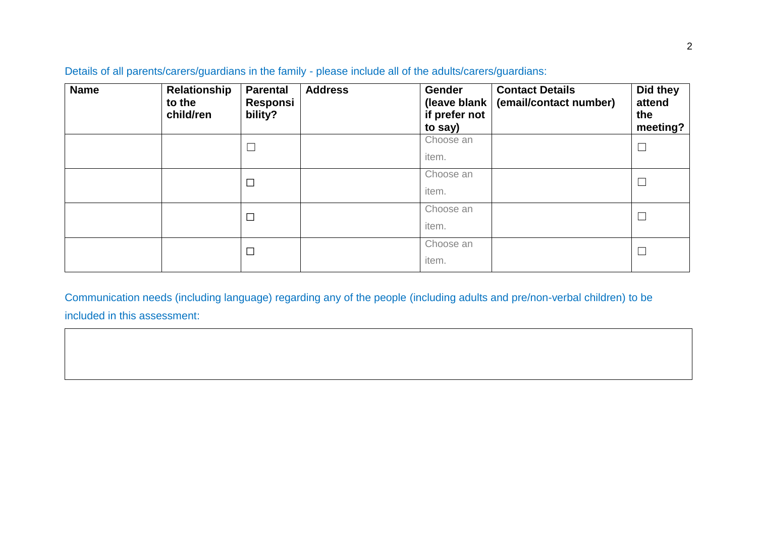| <b>Name</b> | Relationship<br>to the<br>child/ren | <b>Parental</b><br>Responsi<br>bility? | <b>Address</b> | Gender<br>(leave blank  <br>if prefer not<br>to say) | <b>Contact Details</b><br>(email/contact number) | Did they<br>attend<br>the<br>meeting? |
|-------------|-------------------------------------|----------------------------------------|----------------|------------------------------------------------------|--------------------------------------------------|---------------------------------------|
|             |                                     | $\Box$                                 |                | Choose an<br>item.                                   |                                                  | $\Box$                                |
|             |                                     | $\Box$                                 |                | Choose an<br>item.                                   |                                                  | $\Box$                                |
|             |                                     | $\Box$                                 |                | Choose an<br>item.                                   |                                                  |                                       |
|             |                                     | $\Box$                                 |                | Choose an<br>item.                                   |                                                  | $\overline{\phantom{a}}$              |

Details of all parents/carers/guardians in the family - please include all of the adults/carers/guardians:

Communication needs (including language) regarding any of the people (including adults and pre/non-verbal children) to be included in this assessment: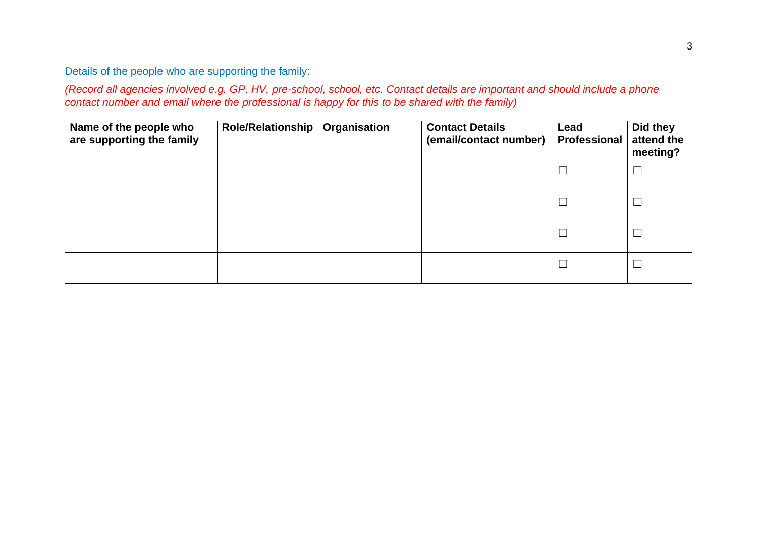Details of the people who are supporting the family:

*(Record all agencies involved e.g. GP, HV, pre-school, school, etc. Contact details are important and should include a phone contact number and email where the professional is happy for this to be shared with the family)*

| Name of the people who<br>are supporting the family | <b>Role/Relationship</b> | Organisation | <b>Contact Details</b><br>(email/contact number) | Lead<br><b>Professional</b> | Did they<br>attend the<br>meeting? |
|-----------------------------------------------------|--------------------------|--------------|--------------------------------------------------|-----------------------------|------------------------------------|
|                                                     |                          |              |                                                  | $\Box$                      | $\Box$                             |
|                                                     |                          |              |                                                  |                             | $\overline{\phantom{a}}$           |
|                                                     |                          |              |                                                  | $\Box$                      | $\overline{\phantom{a}}$           |
|                                                     |                          |              |                                                  | $\overline{\phantom{a}}$    | $\Box$                             |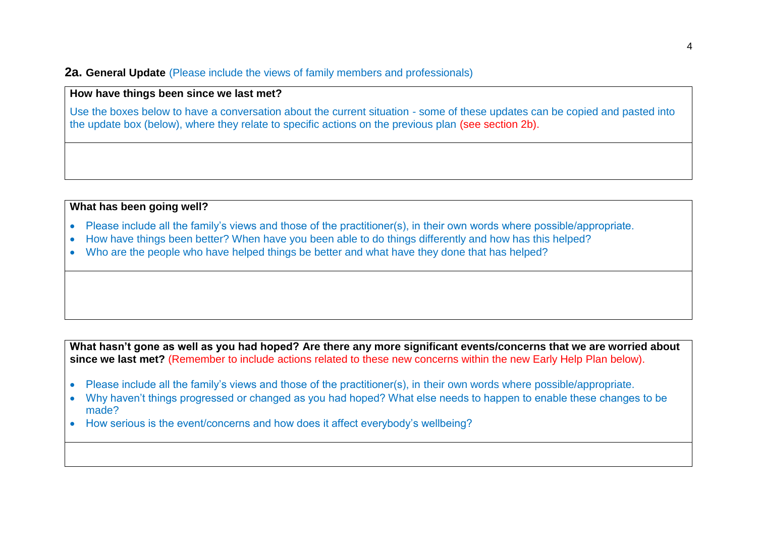#### **2a. General Update** (Please include the views of family members and professionals)

## **How have things been since we last met?**

Use the boxes below to have a conversation about the current situation - some of these updates can be copied and pasted into the update box (below), where they relate to specific actions on the previous plan (see section 2b).

#### **What has been going well?**

- Please include all the family's views and those of the practitioner(s), in their own words where possible/appropriate.
- How have things been better? When have you been able to do things differently and how has this helped?
- Who are the people who have helped things be better and what have they done that has helped?

**What hasn't gone as well as you had hoped? Are there any more significant events/concerns that we are worried about since we last met?** (Remember to include actions related to these new concerns within the new Early Help Plan below).

- Please include all the family's views and those of the practitioner(s), in their own words where possible/appropriate.
- Why haven't things progressed or changed as you had hoped? What else needs to happen to enable these changes to be made?
- How serious is the event/concerns and how does it affect everybody's wellbeing?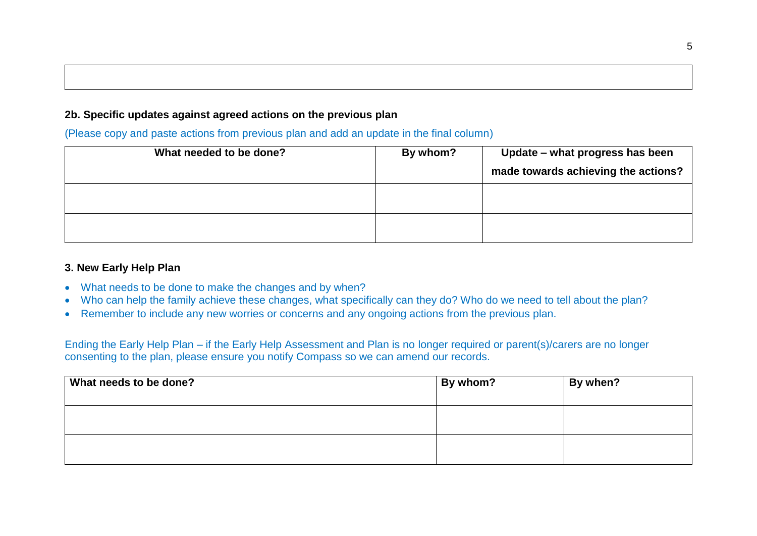# **2b. Specific updates against agreed actions on the previous plan**

(Please copy and paste actions from previous plan and add an update in the final column)

| What needed to be done? | By whom? | Update – what progress has been     |
|-------------------------|----------|-------------------------------------|
|                         |          | made towards achieving the actions? |
|                         |          |                                     |
|                         |          |                                     |
|                         |          |                                     |

## **3. New Early Help Plan**

- What needs to be done to make the changes and by when?
- Who can help the family achieve these changes, what specifically can they do? Who do we need to tell about the plan?
- Remember to include any new worries or concerns and any ongoing actions from the previous plan.

Ending the Early Help Plan – if the Early Help Assessment and Plan is no longer required or parent(s)/carers are no longer consenting to the plan, please ensure you notify Compass so we can amend our records.

| What needs to be done? | By whom? | By when? |
|------------------------|----------|----------|
|                        |          |          |
|                        |          |          |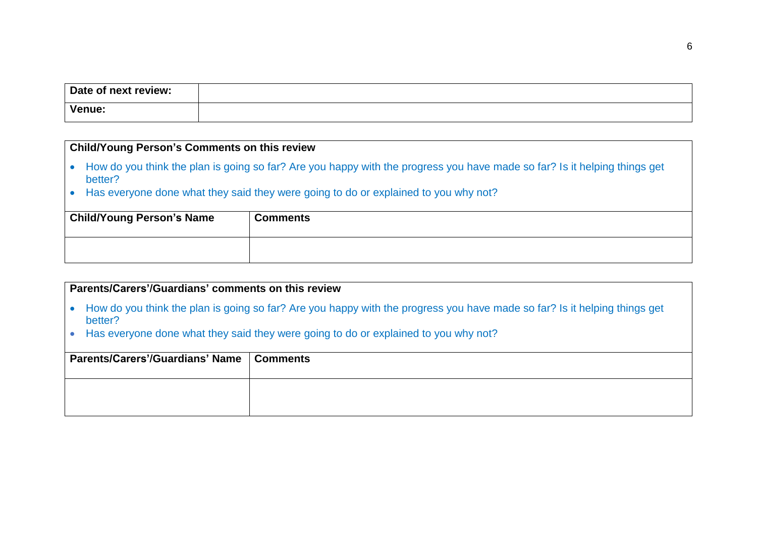| Date of next review: |  |
|----------------------|--|
| <b>Venue:</b>        |  |

## **Child/Young Person's Comments on this review**

- How do you think the plan is going so far? Are you happy with the progress you have made so far? Is it helping things get better?
- Has everyone done what they said they were going to do or explained to you why not?

| <b>Child/Young Person's Name</b> | <b>Comments</b> |
|----------------------------------|-----------------|
|                                  |                 |

#### **Parents/Carers'/Guardians' comments on this review**

- How do you think the plan is going so far? Are you happy with the progress you have made so far? Is it helping things get better?
- Has everyone done what they said they were going to do or explained to you why not?

| Parents/Carers'/Guardians' Name   Comments |  |
|--------------------------------------------|--|
|                                            |  |